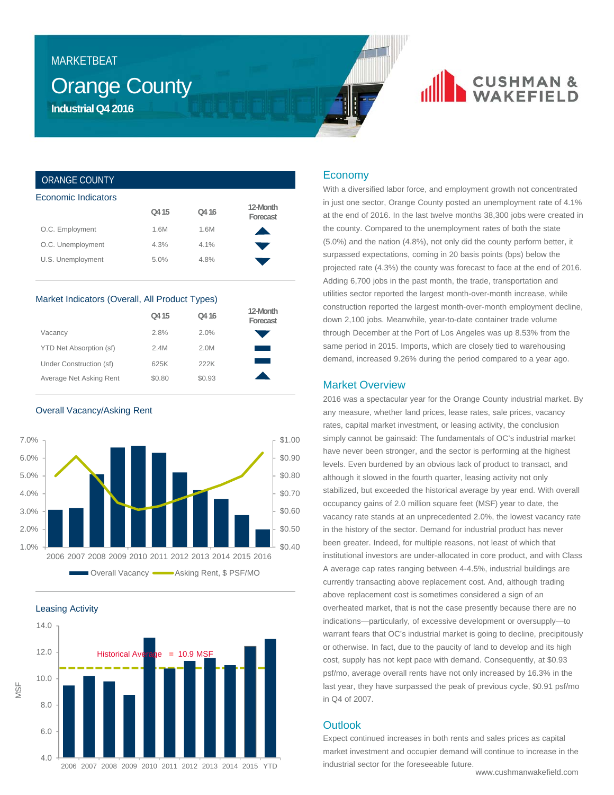## MARKETBEAT

## Orange County **Industrial Q4 2016**

## **CUSHMAN &**

## ORANGE COUNTY

| Economic Indicators |       |                   |                      |
|---------------------|-------|-------------------|----------------------|
|                     | Q4 15 | O <sub>4</sub> 16 | 12-Month<br>Forecast |
| O.C. Employment     | 1.6M  | 1.6M              |                      |
| O.C. Unemployment   | 4.3%  | 4.1%              |                      |
| U.S. Unemployment   | 5.0%  | 4.8%              |                      |
|                     |       |                   |                      |

### Market Indicators (Overall, All Product Types)

|                         | Q4 15  | Q4 16  | 12-Month<br>Forecast |
|-------------------------|--------|--------|----------------------|
| Vacancy                 | 2.8%   | 2.0%   |                      |
| YTD Net Absorption (sf) | 2.4M   | 2.0M   |                      |
| Under Construction (sf) | 625K   | 222K   |                      |
| Average Net Asking Rent | \$0.80 | \$0.93 |                      |

Overall Vacancy/Asking Rent



Leasing Activity



### Economy

With a diversified labor force, and employment growth not concentrated in just one sector, Orange County posted an unemployment rate of 4.1% at the end of 2016. In the last twelve months 38,300 jobs were created in the county. Compared to the unemployment rates of both the state (5.0%) and the nation (4.8%), not only did the county perform better, it surpassed expectations, coming in 20 basis points (bps) below the projected rate (4.3%) the county was forecast to face at the end of 2016. Adding 6,700 jobs in the past month, the trade, transportation and utilities sector reported the largest month-over-month increase, while construction reported the largest month-over-month employment decline, down 2,100 jobs. Meanwhile, year-to-date container trade volume through December at the Port of Los Angeles was up 8.53% from the same period in 2015. Imports, which are closely tied to warehousing demand, increased 9.26% during the period compared to a year ago.

## Market Overview

2016 was a spectacular year for the Orange County industrial market. By any measure, whether land prices, lease rates, sale prices, vacancy rates, capital market investment, or leasing activity, the conclusion simply cannot be gainsaid: The fundamentals of OC's industrial market have never been stronger, and the sector is performing at the highest levels. Even burdened by an obvious lack of product to transact, and although it slowed in the fourth quarter, leasing activity not only stabilized, but exceeded the historical average by year end. With overall occupancy gains of 2.0 million square feet (MSF) year to date, the vacancy rate stands at an unprecedented 2.0%, the lowest vacancy rate in the history of the sector. Demand for industrial product has never been greater. Indeed, for multiple reasons, not least of which that institutional investors are under-allocated in core product, and with Class A average cap rates ranging between 4-4.5%, industrial buildings are currently transacting above replacement cost. And, although trading above replacement cost is sometimes considered a sign of an overheated market, that is not the case presently because there are no indications—particularly, of excessive development or oversupply—to warrant fears that OC's industrial market is going to decline, precipitously or otherwise. In fact, due to the paucity of land to develop and its high cost, supply has not kept pace with demand. Consequently, at \$0.93 psf/mo, average overall rents have not only increased by 16.3% in the last year, they have surpassed the peak of previous cycle, \$0.91 psf/mo in Q4 of 2007.

## **Outlook**

Expect continued increases in both rents and sales prices as capital market investment and occupier demand will continue to increase in the industrial sector for the foreseeable future.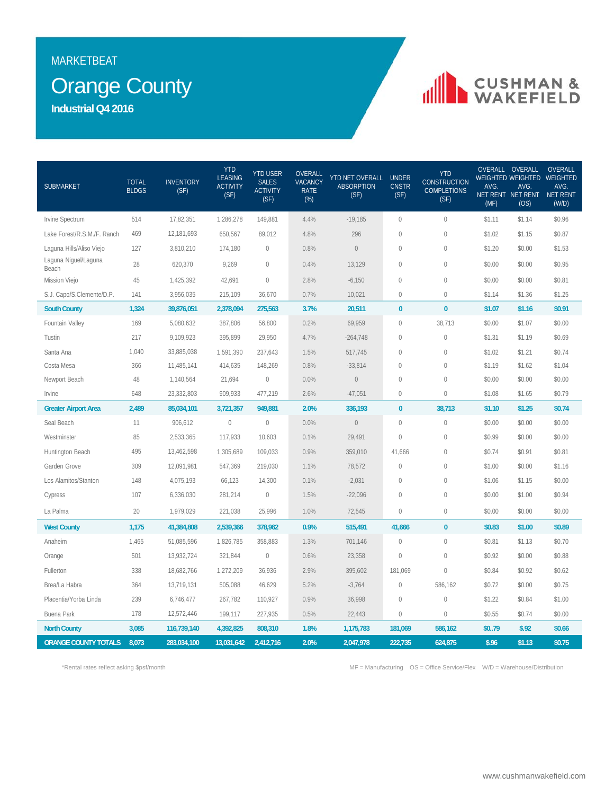## MARKETBEAT

## **Orange County**

**Industrial Q4 2016**

# CUSHMAN &

| <b>SUBMARKET</b>              | <b>TOTAL</b><br><b>BLDGS</b> | <b>INVENTORY</b><br>(SF) | <b>YTD</b><br><b>LEASING</b><br><b>ACTIVITY</b><br>(SF) | <b>YTD USER</b><br><b>SALES</b><br><b>ACTIVITY</b><br>(SF) | OVERALL<br><b>VACANCY</b><br><b>RATE</b><br>$(\%)$ | YTD NET OVERALL<br><b>ABSORPTION</b><br>(SF) | <b>UNDER</b><br><b>CNSTR</b><br>(SF) | <b>YTD</b><br><b>CONSTRUCTION</b><br><b>COMPLETIONS</b><br>(SF) | AVG.<br>(MF) | OVERALL OVERALL<br>WEIGHTED WEIGHTED WEIGHTED<br>AVG.<br>NET RENT NET RENT NET RENT<br>(OS) | <b>OVERALL</b><br>AVG.<br>(W/D) |
|-------------------------------|------------------------------|--------------------------|---------------------------------------------------------|------------------------------------------------------------|----------------------------------------------------|----------------------------------------------|--------------------------------------|-----------------------------------------------------------------|--------------|---------------------------------------------------------------------------------------------|---------------------------------|
| Irvine Spectrum               | 514                          | 17,82,351                | 1,286,278                                               | 149,881                                                    | 4.4%                                               | $-19,185$                                    | $\mathbf{0}$                         | $\mathbf 0$                                                     | \$1.11       | \$1.14                                                                                      | \$0.96                          |
| Lake Forest/R.S.M./F. Ranch   | 469                          | 12,181,693               | 650,567                                                 | 89,012                                                     | 4.8%                                               | 296                                          | $\sqrt{2}$                           | $\mathbb O$                                                     | \$1.02       | \$1.15                                                                                      | \$0.87                          |
| Laguna Hills/Aliso Viejo      | 127                          | 3,810,210                | 174,180                                                 | $\mathbf 0$                                                | 0.8%                                               | $\mathbb O$                                  | $\sqrt{2}$                           | $\mathbb O$                                                     | \$1.20       | \$0.00                                                                                      | \$1.53                          |
| Laguna Niguel/Laguna<br>Beach | 28                           | 620,370                  | 9,269                                                   | $\mathbf{0}$                                               | 0.4%                                               | 13,129                                       | $\mathbf{0}$                         | $\mathbb O$                                                     | \$0.00       | \$0.00                                                                                      | \$0.95                          |
| Mission Viejo                 | 45                           | 1,425,392                | 42.691                                                  | $\overline{0}$                                             | 2.8%                                               | $-6,150$                                     | $\mathbf{0}$                         | $\mathbf 0$                                                     | \$0.00       | \$0.00                                                                                      | \$0.81                          |
| S.J. Capo/S.Clemente/D.P.     | 141                          | 3,956,035                | 215,109                                                 | 36,670                                                     | 0.7%                                               | 10,021                                       | $\mathbf{0}$                         | $\mathbb O$                                                     | \$1.14       | \$1.36                                                                                      | \$1.25                          |
| <b>South County</b>           | 1,324                        | 39,876,051               | 2,378,094                                               | 275,563                                                    | 3.7%                                               | 20,511                                       | $\bf{0}$                             | $\bf{0}$                                                        | \$1.07       | \$1.16                                                                                      | \$0.91                          |
| Fountain Valley               | 169                          | 5,080,632                | 387,806                                                 | 56,800                                                     | 0.2%                                               | 69,959                                       | $\mathbf{0}$                         | 38,713                                                          | \$0.00       | \$1.07                                                                                      | \$0.00                          |
| Tustin                        | 217                          | 9,109,923                | 395,899                                                 | 29,950                                                     | 4.7%                                               | $-264,748$                                   | $\mathbf{0}$                         | $\mathbb O$                                                     | \$1.31       | \$1.19                                                                                      | \$0.69                          |
| Santa Ana                     | 1,040                        | 33,885,038               | 1,591,390                                               | 237,643                                                    | 1.5%                                               | 517,745                                      | $\mathbf{0}$                         | $\mathbf 0$                                                     | \$1.02       | \$1.21                                                                                      | \$0.74                          |
| Costa Mesa                    | 366                          | 11,485,141               | 414,635                                                 | 148,269                                                    | 0.8%                                               | $-33,814$                                    | $\theta$                             | $\mathbf 0$                                                     | \$1.19       | \$1.62                                                                                      | \$1.04                          |
| Newport Beach                 | 48                           | 1,140,564                | 21,694                                                  | $\mathbf 0$                                                | 0.0%                                               | $\mathbb O$                                  | $\mathbf{0}$                         | $\mathbf{0}$                                                    | \$0.00       | \$0.00                                                                                      | \$0.00                          |
| Irvine                        | 648                          | 23,332,803               | 909,933                                                 | 477,219                                                    | 2.6%                                               | $-47,051$                                    | $\mathbf{0}$                         | $\Omega$                                                        | \$1.08       | \$1.65                                                                                      | \$0.79                          |
| <b>Greater Airport Area</b>   | 2,489                        | 85,034,101               | 3,721,357                                               | 949,881                                                    | 2.0%                                               | 336,193                                      | $\bf{0}$                             | 38,713                                                          | \$1.10       | \$1.25                                                                                      | \$0.74                          |
| Seal Beach                    | 11                           | 906,612                  | $\mathbb O$                                             | $\mathbb O$                                                | 0.0%                                               | $\mathbb O$                                  | $\mathbf{0}$                         | $\mathbb O$                                                     | \$0.00       | \$0.00                                                                                      | \$0.00                          |
| Westminster                   | 85                           | 2,533,365                | 117,933                                                 | 10,603                                                     | 0.1%                                               | 29,491                                       | $\mathbf 0$                          | 0                                                               | \$0.99       | \$0.00                                                                                      | \$0.00                          |
| Huntington Beach              | 495                          | 13,462,598               | 1,305,689                                               | 109,033                                                    | 0.9%                                               | 359,010                                      | 41,666                               | $\mathbf 0$                                                     | \$0.74       | \$0.91                                                                                      | \$0.81                          |
| Garden Grove                  | 309                          | 12,091,981               | 547,369                                                 | 219,030                                                    | 1.1%                                               | 78,572                                       | $\theta$                             | $\mathbf 0$                                                     | \$1.00       | \$0.00                                                                                      | \$1.16                          |
| Los Alamitos/Stanton          | 148                          | 4,075,193                | 66,123                                                  | 14,300                                                     | 0.1%                                               | $-2,031$                                     | $\mathbf{0}$                         | $\mathbb O$                                                     | \$1.06       | \$1.15                                                                                      | \$0.00                          |
| Cypress                       | 107                          | 6,336,030                | 281,214                                                 | $\overline{0}$                                             | 1.5%                                               | $-22,096$                                    | $\overline{0}$                       | $\mathbf{0}$                                                    | \$0.00       | \$1.00                                                                                      | \$0.94                          |
| La Palma                      | 20                           | 1,979,029                | 221,038                                                 | 25,996                                                     | 1.0%                                               | 72,545                                       | $\mathbf{0}$                         | $\mathbf 0$                                                     | \$0.00       | \$0.00                                                                                      | \$0.00                          |
| <b>West County</b>            | 1,175                        | 41,384,808               | 2,539,366                                               | 378,962                                                    | 0.9%                                               | 515,491                                      | 41,666                               | $\pmb{0}$                                                       | \$0.83       | \$1.00                                                                                      | \$0.89                          |
| Anaheim                       | 1,465                        | 51,085,596               | 1,826,785                                               | 358,883                                                    | 1.3%                                               | 701,146                                      | $\mathbf{0}$                         | $\mathbf{0}$                                                    | \$0.81       | \$1.13                                                                                      | \$0.70                          |
| Orange                        | 501                          | 13,932,724               | 321,844                                                 | $\mathbb O$                                                | 0.6%                                               | 23,358                                       | $\mathbf 0$                          | $\mathbb O$                                                     | \$0.92       | \$0.00                                                                                      | \$0.88                          |
| Fullerton                     | 338                          | 18,682,766               | 1,272,209                                               | 36,936                                                     | 2.9%                                               | 395,602                                      | 181,069                              | $\mathbf{0}$                                                    | \$0.84       | \$0.92                                                                                      | \$0.62                          |
| Brea/La Habra                 | 364                          | 13,719,131               | 505,088                                                 | 46,629                                                     | 5.2%                                               | $-3,764$                                     | $\bigcirc$                           | 586,162                                                         | \$0.72       | \$0.00                                                                                      | \$0.75                          |
| Placentia/Yorba Linda         | 239                          | 6,746,477                | 267,782                                                 | 110,927                                                    | 0.9%                                               | 36,998                                       | $\mathbf 0$                          | $\mathbf 0$                                                     | \$1.22       | \$0.84                                                                                      | \$1.00                          |
| <b>Buena Park</b>             | 178                          | 12,572,446               | 199,117                                                 | 227,935                                                    | 0.5%                                               | 22,443                                       | $\mathbf 0$                          | $\mathbf 0$                                                     | \$0.55       | \$0.74                                                                                      | \$0.00                          |
| <b>North County</b>           | 3,085                        | 116,739,140              | 4,392,825                                               | 808,310                                                    | 1.8%                                               | 1,175,783                                    | 181,069                              | 586,162                                                         | \$079        | \$.92                                                                                       | \$0.66                          |
| <b>ORANGE COUNTY TOTALS</b>   | 8,073                        | 283,034,100              | 13,031,642                                              | 2,412,716                                                  | 2.0%                                               | 2,047,978                                    | 222,735                              | 624,875                                                         | \$.96        | \$1.13                                                                                      | \$0.75                          |

\*Rental rates reflect asking \$psf/month MF = Manufacturing OS = Office Service/Flex W/D = Warehouse/Distribution